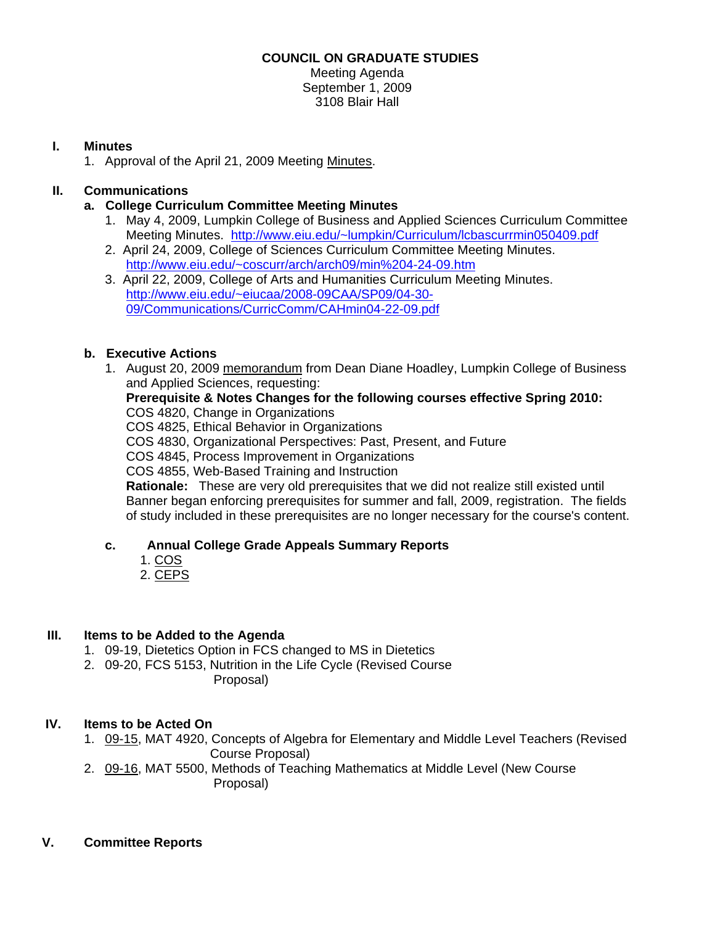#### **COUNCIL ON GRADUATE STUDIES**

Meeting Agenda September 1, 2009 3108 Blair Hall

### **I. Minutes**

1. Approval of the April 21, 2009 Meetin[g Minutes.](http://www.eiu.edu/~eiucgs/currentminutes/Minutes4-21-09.pdf) 

# **II. Communications**

- **a. College Curriculum Committee Meeting Minutes** 
	- 1. May 4, 2009, Lumpkin College of Business and Applied Sciences Curriculum Committee Meeting Minutes.<http://www.eiu.edu/~lumpkin/Curriculum/lcbascurrmin050409.pdf>
	- 2. April 24, 2009, College of Sciences Curriculum Committee Meeting Minutes. <http://www.eiu.edu/~coscurr/arch/arch09/min%204-24-09.htm>
	- 3. April 22, 2009, College of Arts and Humanities Curriculum Meeting Minutes. http://www.eiu.edu/~eiucaa/2008-09CAA/SP09/04-30- [09/Communications/CurricComm/CAHmin04-22-09.pdf](http://www.eiu.edu/~eiucaa/2008-09CAA/SP09/04-30-09/Communications/CurricComm/CAHmin04-22-09.pdf)

## **b. Executive Actions**

 1. August 20, 2009 [memorandum from](http://www.eiu.edu/~eiucgs/currentagendaitems/LCBAS-8-20-09ExecAct.pdf) Dean Diane Hoadley, Lumpkin College of Business and Applied Sciences, requesting:

#### **Prerequisite & Notes Changes for the following courses effective Spring 2010:**  COS 4820, Change in Organizations

COS 4825, Ethical Behavior in Organizations

COS 4830, Organizational Perspectives: Past, Present, and Future

COS 4845, Process Improvement in Organizations

COS 4855, Web-Based Training and Instruction

**Rationale:** These are very old prerequisites that we did not realize still existed until Banner began enforcing prerequisites for summer and fall, 2009, registration. The fields of study included in these prerequisites are no longer necessary for the course's content.

## **c. Annual College Grade Appeals Summary Reports**

- [1. COS](http://www.eiu.edu/~eiucgs/currentagendaitems/COSGradeAppealsSP09.pdf)
- [2. CEPS](http://www.eiu.edu/~eiucgs/currentagendaitems/CEPSGradeAppealsSP09.pdf)

## **III. Items to be Added to the Agenda**

- 1. 09-19, Dietetics Option in FCS changed to MS in Dietetics
- 2. 09-20, FCS 5153, Nutrition in the Life Cycle (Revised Course Proposal)

## **IV. Items to be Acted On**

1[. 09-15,](http://www.eiu.edu/~eiucgs/currentagendaitems/agenda09-15.pdf) MAT 4920, Concepts of Algebra for Elementary and Middle Level Teachers (Revised Course Proposal)

2. [09-16, M](http://www.eiu.edu/~eiucgs/currentagendaitems/agenda09-16.pdf)AT 5500, Methods of Teaching Mathematics at Middle Level (New Course Proposal)

#### **V. Committee Reports**